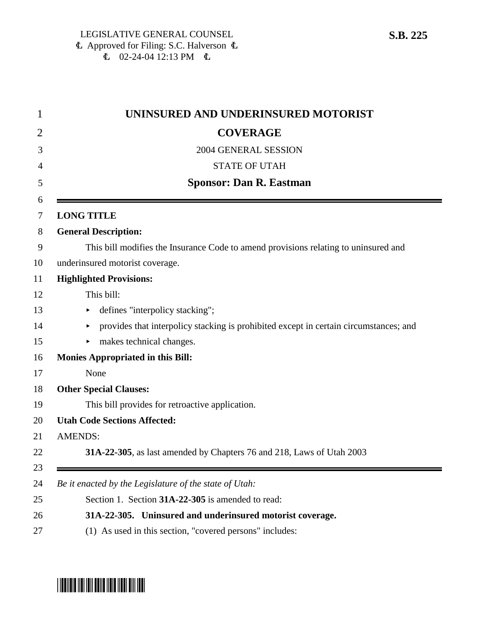|                   | UNINSURED AND UNDERINSURED MOTORIST                                                   |
|-------------------|---------------------------------------------------------------------------------------|
|                   | <b>COVERAGE</b>                                                                       |
|                   | 2004 GENERAL SESSION                                                                  |
|                   | <b>STATE OF UTAH</b>                                                                  |
|                   | <b>Sponsor: Dan R. Eastman</b>                                                        |
| <b>LONG TITLE</b> |                                                                                       |
|                   | <b>General Description:</b>                                                           |
|                   | This bill modifies the Insurance Code to amend provisions relating to uninsured and   |
|                   | underinsured motorist coverage.                                                       |
|                   | <b>Highlighted Provisions:</b>                                                        |
|                   | This bill:                                                                            |
|                   | defines "interpolicy stacking";                                                       |
|                   | provides that interpolicy stacking is prohibited except in certain circumstances; and |
| ►                 | makes technical changes.                                                              |
|                   | <b>Monies Appropriated in this Bill:</b>                                              |
|                   | None                                                                                  |
|                   | <b>Other Special Clauses:</b>                                                         |
|                   | This bill provides for retroactive application.                                       |
|                   | <b>Utah Code Sections Affected:</b>                                                   |
| <b>AMENDS:</b>    |                                                                                       |
|                   | 31A-22-305, as last amended by Chapters 76 and 218, Laws of Utah 2003                 |
|                   | Be it enacted by the Legislature of the state of Utah:                                |
|                   | Section 1. Section 31A-22-305 is amended to read:                                     |
|                   | 31A-22-305. Uninsured and underinsured motorist coverage.                             |
|                   | (1) As used in this section, "covered persons" includes:                              |

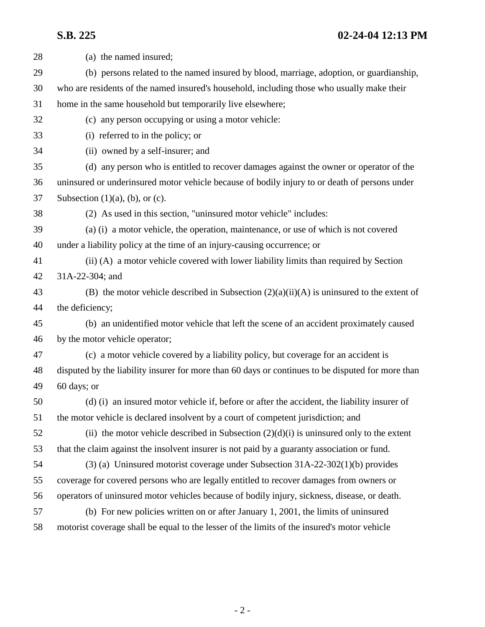| 28 | (a) the named insured;                                                                            |
|----|---------------------------------------------------------------------------------------------------|
| 29 | (b) persons related to the named insured by blood, marriage, adoption, or guardianship,           |
| 30 | who are residents of the named insured's household, including those who usually make their        |
| 31 | home in the same household but temporarily live elsewhere;                                        |
| 32 | (c) any person occupying or using a motor vehicle:                                                |
| 33 | (i) referred to in the policy; or                                                                 |
| 34 | (ii) owned by a self-insurer; and                                                                 |
| 35 | (d) any person who is entitled to recover damages against the owner or operator of the            |
| 36 | uninsured or underinsured motor vehicle because of bodily injury to or death of persons under     |
| 37 | Subsection $(1)(a)$ , $(b)$ , or $(c)$ .                                                          |
| 38 | (2) As used in this section, "uninsured motor vehicle" includes:                                  |
| 39 | (a) (i) a motor vehicle, the operation, maintenance, or use of which is not covered               |
| 40 | under a liability policy at the time of an injury-causing occurrence; or                          |
| 41 | (ii) (A) a motor vehicle covered with lower liability limits than required by Section             |
| 42 | 31A-22-304; and                                                                                   |
| 43 | (B) the motor vehicle described in Subsection $(2)(a)(ii)(A)$ is uninsured to the extent of       |
| 44 | the deficiency;                                                                                   |
| 45 | (b) an unidentified motor vehicle that left the scene of an accident proximately caused           |
| 46 | by the motor vehicle operator;                                                                    |
| 47 | (c) a motor vehicle covered by a liability policy, but coverage for an accident is                |
| 48 | disputed by the liability insurer for more than 60 days or continues to be disputed for more than |
| 49 | 60 days; or                                                                                       |
| 50 | (d) (i) an insured motor vehicle if, before or after the accident, the liability insurer of       |
| 51 | the motor vehicle is declared insolvent by a court of competent jurisdiction; and                 |
| 52 | (ii) the motor vehicle described in Subsection $(2)(d)(i)$ is uninsured only to the extent        |
| 53 | that the claim against the insolvent insurer is not paid by a guaranty association or fund.       |
| 54 | $(3)$ (a) Uninsured motorist coverage under Subsection 31A-22-302(1)(b) provides                  |
| 55 | coverage for covered persons who are legally entitled to recover damages from owners or           |
| 56 | operators of uninsured motor vehicles because of bodily injury, sickness, disease, or death.      |
| 57 | (b) For new policies written on or after January 1, 2001, the limits of uninsured                 |
| 58 | motorist coverage shall be equal to the lesser of the limits of the insured's motor vehicle       |
|    |                                                                                                   |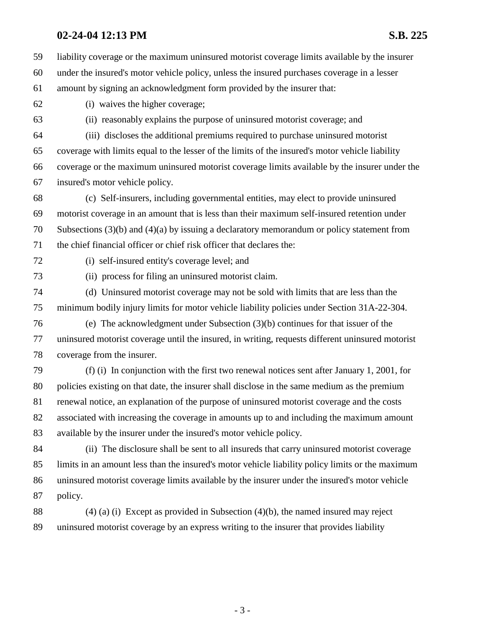59 liability coverage or the maximum uninsured motorist coverage limits available by the insurer 60 under the insured's motor vehicle policy, unless the insured purchases coverage in a lesser 61 amount by signing an acknowledgment form provided by the insurer that: 62 (i) waives the higher coverage; 63 (ii) reasonably explains the purpose of uninsured motorist coverage; and 64 (iii) discloses the additional premiums required to purchase uninsured motorist 65 coverage with limits equal to the lesser of the limits of the insured's motor vehicle liability 66 coverage or the maximum uninsured motorist coverage limits available by the insurer under the 67 insured's motor vehicle policy. 68 (c) Self-insurers, including governmental entities, may elect to provide uninsured 69 motorist coverage in an amount that is less than their maximum self-insured retention under 70 Subsections (3)(b) and (4)(a) by issuing a declaratory memorandum or policy statement from 71 the chief financial officer or chief risk officer that declares the: 72 (i) self-insured entity's coverage level; and 73 (ii) process for filing an uninsured motorist claim. 74 (d) Uninsured motorist coverage may not be sold with limits that are less than the 75 minimum bodily injury limits for motor vehicle liability policies under Section 31A-22-304. 76 (e) The acknowledgment under Subsection (3)(b) continues for that issuer of the 77 uninsured motorist coverage until the insured, in writing, requests different uninsured motorist 78 coverage from the insurer. 79 (f) (i) In conjunction with the first two renewal notices sent after January 1, 2001, for 80 policies existing on that date, the insurer shall disclose in the same medium as the premium 81 renewal notice, an explanation of the purpose of uninsured motorist coverage and the costs 82 associated with increasing the coverage in amounts up to and including the maximum amount 83 available by the insurer under the insured's motor vehicle policy. 84 (ii) The disclosure shall be sent to all insureds that carry uninsured motorist coverage 85 limits in an amount less than the insured's motor vehicle liability policy limits or the maximum 86 uninsured motorist coverage limits available by the insurer under the insured's motor vehicle 87 policy. 88 (4) (a) (i) Except as provided in Subsection (4)(b), the named insured may reject

89 uninsured motorist coverage by an express writing to the insurer that provides liability

- 3 -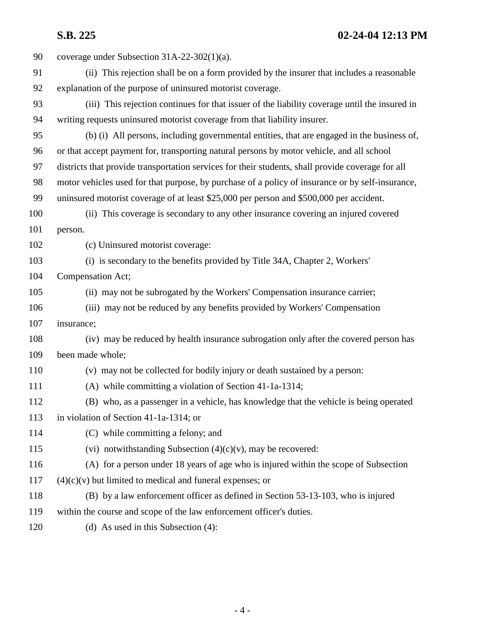| 90  | coverage under Subsection $31A-22-302(1)(a)$ .                                                    |
|-----|---------------------------------------------------------------------------------------------------|
| 91  | (ii) This rejection shall be on a form provided by the insurer that includes a reasonable         |
| 92  | explanation of the purpose of uninsured motorist coverage.                                        |
| 93  | (iii) This rejection continues for that issuer of the liability coverage until the insured in     |
| 94  | writing requests uninsured motorist coverage from that liability insurer.                         |
| 95  | (b) (i) All persons, including governmental entities, that are engaged in the business of,        |
| 96  | or that accept payment for, transporting natural persons by motor vehicle, and all school         |
| 97  | districts that provide transportation services for their students, shall provide coverage for all |
| 98  | motor vehicles used for that purpose, by purchase of a policy of insurance or by self-insurance,  |
| 99  | uninsured motorist coverage of at least \$25,000 per person and \$500,000 per accident.           |
| 100 | (ii) This coverage is secondary to any other insurance covering an injured covered                |
| 101 | person.                                                                                           |
| 102 | (c) Uninsured motorist coverage:                                                                  |
| 103 | (i) is secondary to the benefits provided by Title 34A, Chapter 2, Workers'                       |
| 104 | Compensation Act;                                                                                 |
| 105 | (ii) may not be subrogated by the Workers' Compensation insurance carrier;                        |
| 106 | (iii) may not be reduced by any benefits provided by Workers' Compensation                        |
| 107 | insurance;                                                                                        |
| 108 | (iv) may be reduced by health insurance subrogation only after the covered person has             |
| 109 | been made whole;                                                                                  |
| 110 | (v) may not be collected for bodily injury or death sustained by a person:                        |
| 111 | (A) while committing a violation of Section 41-1a-1314;                                           |
| 112 | (B) who, as a passenger in a vehicle, has knowledge that the vehicle is being operated            |
| 113 | in violation of Section 41-1a-1314; or                                                            |
| 114 | (C) while committing a felony; and                                                                |
| 115 | (vi) notwithstanding Subsection $(4)(c)(v)$ , may be recovered:                                   |
| 116 | (A) for a person under 18 years of age who is injured within the scope of Subsection              |
| 117 | $(4)(c)(v)$ but limited to medical and funeral expenses; or                                       |
| 118 | (B) by a law enforcement officer as defined in Section 53-13-103, who is injured                  |
| 119 | within the course and scope of the law enforcement officer's duties.                              |
| 120 | (d) As used in this Subsection $(4)$ :                                                            |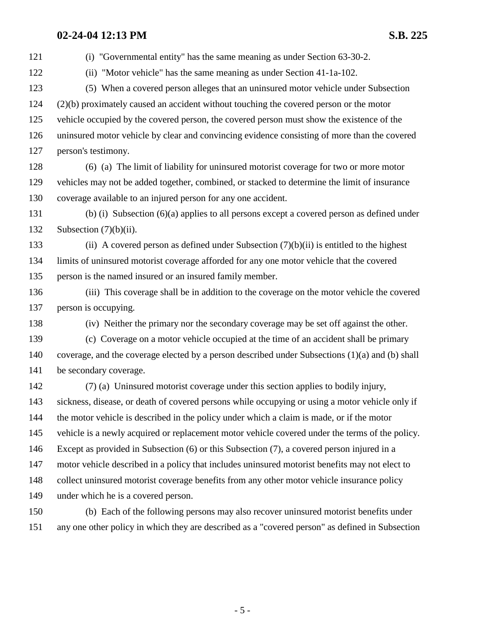121 (i) "Governmental entity" has the same meaning as under Section 63-30-2. 122 (ii) "Motor vehicle" has the same meaning as under Section 41-1a-102. 123 (5) When a covered person alleges that an uninsured motor vehicle under Subsection 124 (2)(b) proximately caused an accident without touching the covered person or the motor 125 vehicle occupied by the covered person, the covered person must show the existence of the 126 uninsured motor vehicle by clear and convincing evidence consisting of more than the covered 127 person's testimony. 128 (6) (a) The limit of liability for uninsured motorist coverage for two or more motor 129 vehicles may not be added together, combined, or stacked to determine the limit of insurance 130 coverage available to an injured person for any one accident. 131 (b) (i) Subsection (6)(a) applies to all persons except a covered person as defined under 132 Subsection  $(7)(b)(ii)$ . 133 (ii) A covered person as defined under Subsection  $(7)(b)(ii)$  is entitled to the highest 134 limits of uninsured motorist coverage afforded for any one motor vehicle that the covered 135 person is the named insured or an insured family member. 136 (iii) This coverage shall be in addition to the coverage on the motor vehicle the covered 137 person is occupying. 138 (iv) Neither the primary nor the secondary coverage may be set off against the other. 139 (c) Coverage on a motor vehicle occupied at the time of an accident shall be primary 140 coverage, and the coverage elected by a person described under Subsections (1)(a) and (b) shall 141 be secondary coverage. 142 (7) (a) Uninsured motorist coverage under this section applies to bodily injury, 143 sickness, disease, or death of covered persons while occupying or using a motor vehicle only if 144 the motor vehicle is described in the policy under which a claim is made, or if the motor 145 vehicle is a newly acquired or replacement motor vehicle covered under the terms of the policy. 146 Except as provided in Subsection (6) or this Subsection (7), a covered person injured in a 147 motor vehicle described in a policy that includes uninsured motorist benefits may not elect to 148 collect uninsured motorist coverage benefits from any other motor vehicle insurance policy 149 under which he is a covered person. 150 (b) Each of the following persons may also recover uninsured motorist benefits under 151 any one other policy in which they are described as a "covered person" as defined in Subsection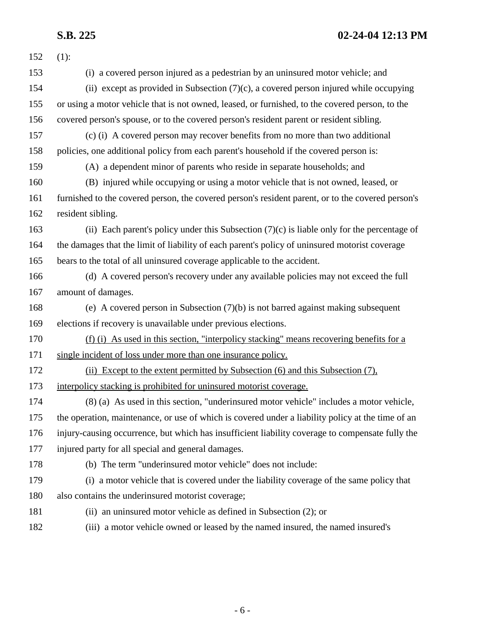| 152 | $(1)$ :                                                                                           |
|-----|---------------------------------------------------------------------------------------------------|
| 153 | (i) a covered person injured as a pedestrian by an uninsured motor vehicle; and                   |
| 154 | (ii) except as provided in Subsection (7)(c), a covered person injured while occupying            |
| 155 | or using a motor vehicle that is not owned, leased, or furnished, to the covered person, to the   |
| 156 | covered person's spouse, or to the covered person's resident parent or resident sibling.          |
| 157 | (c) (i) A covered person may recover benefits from no more than two additional                    |
| 158 | policies, one additional policy from each parent's household if the covered person is:            |
| 159 | (A) a dependent minor of parents who reside in separate households; and                           |
| 160 | (B) injured while occupying or using a motor vehicle that is not owned, leased, or                |
| 161 | furnished to the covered person, the covered person's resident parent, or to the covered person's |
| 162 | resident sibling.                                                                                 |
| 163 | (ii) Each parent's policy under this Subsection $(7)(c)$ is liable only for the percentage of     |
| 164 | the damages that the limit of liability of each parent's policy of uninsured motorist coverage    |
| 165 | bears to the total of all uninsured coverage applicable to the accident.                          |
| 166 | (d) A covered person's recovery under any available policies may not exceed the full              |
| 167 | amount of damages.                                                                                |
| 168 | (e) A covered person in Subsection $(7)(b)$ is not barred against making subsequent               |
| 169 | elections if recovery is unavailable under previous elections.                                    |
| 170 | (f) (i) As used in this section, "interpolicy stacking" means recovering benefits for a           |
| 171 | single incident of loss under more than one insurance policy.                                     |
| 172 | (ii) Except to the extent permitted by Subsection (6) and this Subsection (7),                    |
| 173 | interpolicy stacking is prohibited for uninsured motorist coverage.                               |
| 174 | (8) (a) As used in this section, "underinsured motor vehicle" includes a motor vehicle,           |
| 175 | the operation, maintenance, or use of which is covered under a liability policy at the time of an |
| 176 | injury-causing occurrence, but which has insufficient liability coverage to compensate fully the  |
| 177 | injured party for all special and general damages.                                                |
| 178 | (b) The term "underinsured motor vehicle" does not include:                                       |
| 179 | (i) a motor vehicle that is covered under the liability coverage of the same policy that          |
| 180 | also contains the underinsured motorist coverage;                                                 |
| 181 | (ii) an uninsured motor vehicle as defined in Subsection (2); or                                  |
| 182 | (iii) a motor vehicle owned or leased by the named insured, the named insured's                   |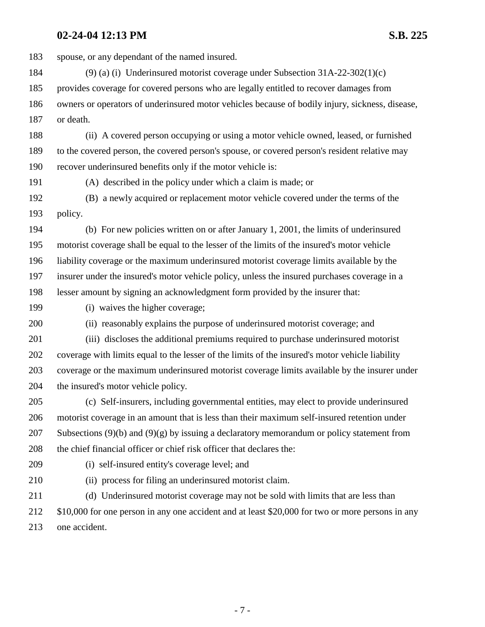183 spouse, or any dependant of the named insured. 184 (9) (a) (i) Underinsured motorist coverage under Subsection 31A-22-302(1)(c) 185 provides coverage for covered persons who are legally entitled to recover damages from 186 owners or operators of underinsured motor vehicles because of bodily injury, sickness, disease, 187 or death. 188 (ii) A covered person occupying or using a motor vehicle owned, leased, or furnished 189 to the covered person, the covered person's spouse, or covered person's resident relative may 190 recover underinsured benefits only if the motor vehicle is: 191 (A) described in the policy under which a claim is made; or 192 (B) a newly acquired or replacement motor vehicle covered under the terms of the 193 policy. 194 (b) For new policies written on or after January 1, 2001, the limits of underinsured 195 motorist coverage shall be equal to the lesser of the limits of the insured's motor vehicle 196 liability coverage or the maximum underinsured motorist coverage limits available by the 197 insurer under the insured's motor vehicle policy, unless the insured purchases coverage in a 198 lesser amount by signing an acknowledgment form provided by the insurer that: 199 (i) waives the higher coverage; 200 (ii) reasonably explains the purpose of underinsured motorist coverage; and 201 (iii) discloses the additional premiums required to purchase underinsured motorist 202 coverage with limits equal to the lesser of the limits of the insured's motor vehicle liability 203 coverage or the maximum underinsured motorist coverage limits available by the insurer under 204 the insured's motor vehicle policy. 205 (c) Self-insurers, including governmental entities, may elect to provide underinsured 206 motorist coverage in an amount that is less than their maximum self-insured retention under 207 Subsections (9)(b) and (9)(g) by issuing a declaratory memorandum or policy statement from 208 the chief financial officer or chief risk officer that declares the: 209 (i) self-insured entity's coverage level; and 210 (ii) process for filing an underinsured motorist claim. 211 (d) Underinsured motorist coverage may not be sold with limits that are less than 212 \$10,000 for one person in any one accident and at least \$20,000 for two or more persons in any 213 one accident.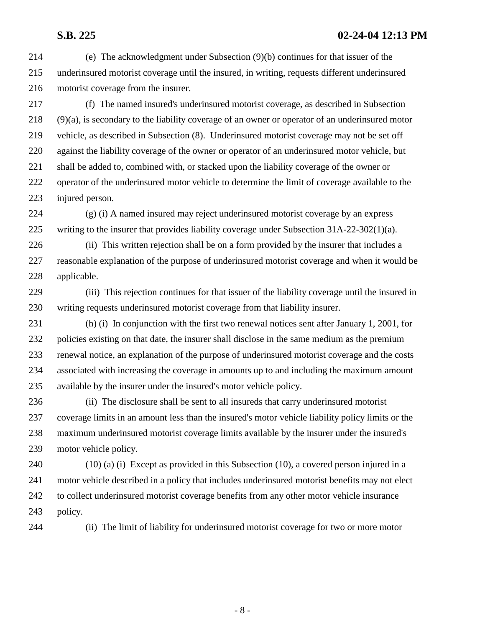214 (e) The acknowledgment under Subsection (9)(b) continues for that issuer of the 215 underinsured motorist coverage until the insured, in writing, requests different underinsured 216 motorist coverage from the insurer.

217 (f) The named insured's underinsured motorist coverage, as described in Subsection 218 (9)(a), is secondary to the liability coverage of an owner or operator of an underinsured motor 219 vehicle, as described in Subsection (8). Underinsured motorist coverage may not be set off 220 against the liability coverage of the owner or operator of an underinsured motor vehicle, but 221 shall be added to, combined with, or stacked upon the liability coverage of the owner or 222 operator of the underinsured motor vehicle to determine the limit of coverage available to the 223 injured person.

224 (g) (i) A named insured may reject underinsured motorist coverage by an express 225 writing to the insurer that provides liability coverage under Subsection 31A-22-302(1)(a).

226 (ii) This written rejection shall be on a form provided by the insurer that includes a 227 reasonable explanation of the purpose of underinsured motorist coverage and when it would be 228 applicable.

229 (iii) This rejection continues for that issuer of the liability coverage until the insured in 230 writing requests underinsured motorist coverage from that liability insurer.

231 (h) (i) In conjunction with the first two renewal notices sent after January 1, 2001, for 232 policies existing on that date, the insurer shall disclose in the same medium as the premium 233 renewal notice, an explanation of the purpose of underinsured motorist coverage and the costs 234 associated with increasing the coverage in amounts up to and including the maximum amount 235 available by the insurer under the insured's motor vehicle policy.

236 (ii) The disclosure shall be sent to all insureds that carry underinsured motorist 237 coverage limits in an amount less than the insured's motor vehicle liability policy limits or the 238 maximum underinsured motorist coverage limits available by the insurer under the insured's 239 motor vehicle policy.

240 (10) (a) (i) Except as provided in this Subsection (10), a covered person injured in a 241 motor vehicle described in a policy that includes underinsured motorist benefits may not elect 242 to collect underinsured motorist coverage benefits from any other motor vehicle insurance 243 policy.

244 (ii) The limit of liability for underinsured motorist coverage for two or more motor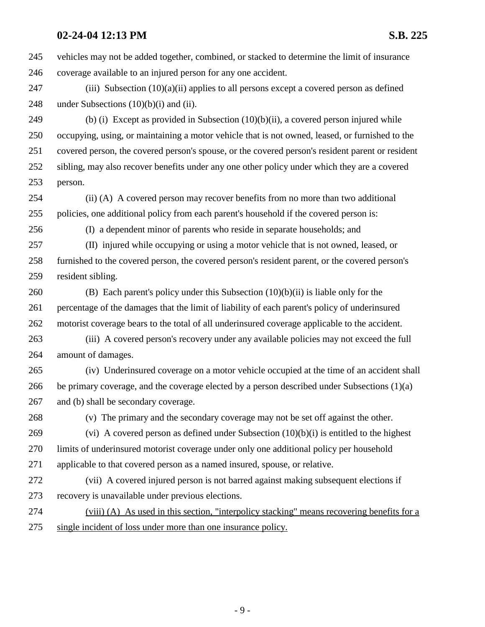245 vehicles may not be added together, combined, or stacked to determine the limit of insurance 246 coverage available to an injured person for any one accident.

247 (iii) Subsection  $(10)(a)(ii)$  applies to all persons except a covered person as defined 248 under Subsections  $(10)(b)(i)$  and  $(ii)$ .

249 (b) (i) Except as provided in Subsection (10)(b)(ii), a covered person injured while 250 occupying, using, or maintaining a motor vehicle that is not owned, leased, or furnished to the 251 covered person, the covered person's spouse, or the covered person's resident parent or resident 252 sibling, may also recover benefits under any one other policy under which they are a covered 253 person.

254 (ii) (A) A covered person may recover benefits from no more than two additional 255 policies, one additional policy from each parent's household if the covered person is:

256 (I) a dependent minor of parents who reside in separate households; and

257 (II) injured while occupying or using a motor vehicle that is not owned, leased, or 258 furnished to the covered person, the covered person's resident parent, or the covered person's 259 resident sibling.

260 (B) Each parent's policy under this Subsection (10)(b)(ii) is liable only for the 261 percentage of the damages that the limit of liability of each parent's policy of underinsured 262 motorist coverage bears to the total of all underinsured coverage applicable to the accident.

263 (iii) A covered person's recovery under any available policies may not exceed the full 264 amount of damages.

265 (iv) Underinsured coverage on a motor vehicle occupied at the time of an accident shall 266 be primary coverage, and the coverage elected by a person described under Subsections (1)(a) 267 and (b) shall be secondary coverage.

268 (v) The primary and the secondary coverage may not be set off against the other.

269 (vi) A covered person as defined under Subsection  $(10)(b)(i)$  is entitled to the highest 270 limits of underinsured motorist coverage under only one additional policy per household 271 applicable to that covered person as a named insured, spouse, or relative.

272 (vii) A covered injured person is not barred against making subsequent elections if 273 recovery is unavailable under previous elections.

274 (viii) (A) As used in this section, "interpolicy stacking" means recovering benefits for a 275 single incident of loss under more than one insurance policy.

- 9 -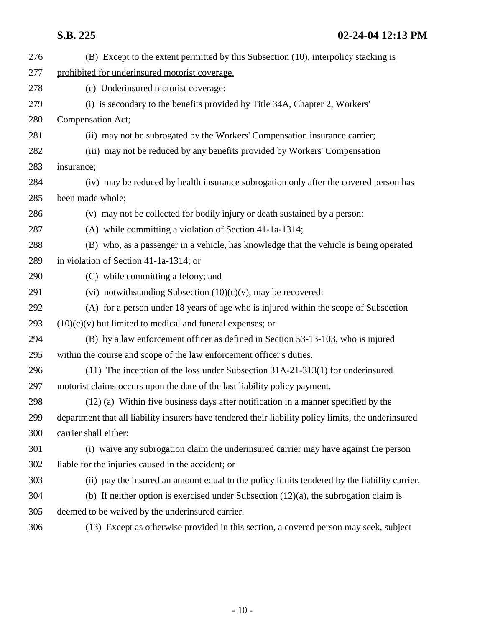| 276 | (B) Except to the extent permitted by this Subsection (10), interpolicy stacking is                  |
|-----|------------------------------------------------------------------------------------------------------|
| 277 | prohibited for underinsured motorist coverage.                                                       |
| 278 | (c) Underinsured motorist coverage:                                                                  |
| 279 | (i) is secondary to the benefits provided by Title 34A, Chapter 2, Workers'                          |
| 280 | Compensation Act;                                                                                    |
| 281 | (ii) may not be subrogated by the Workers' Compensation insurance carrier;                           |
| 282 | (iii) may not be reduced by any benefits provided by Workers' Compensation                           |
| 283 | insurance;                                                                                           |
| 284 | (iv) may be reduced by health insurance subrogation only after the covered person has                |
| 285 | been made whole;                                                                                     |
| 286 | (v) may not be collected for bodily injury or death sustained by a person:                           |
| 287 | $(A)$ while committing a violation of Section 41-1a-1314;                                            |
| 288 | (B) who, as a passenger in a vehicle, has knowledge that the vehicle is being operated               |
| 289 | in violation of Section 41-1a-1314; or                                                               |
| 290 | (C) while committing a felony; and                                                                   |
| 291 | (vi) notwithstanding Subsection $(10)(c)(v)$ , may be recovered:                                     |
| 292 | (A) for a person under 18 years of age who is injured within the scope of Subsection                 |
| 293 | $(10)(c)(v)$ but limited to medical and funeral expenses; or                                         |
| 294 | (B) by a law enforcement officer as defined in Section 53-13-103, who is injured                     |
| 295 | within the course and scope of the law enforcement officer's duties.                                 |
| 296 | $(11)$ The inception of the loss under Subsection 31A-21-313(1) for underinsured                     |
| 297 | motorist claims occurs upon the date of the last liability policy payment.                           |
| 298 | (12) (a) Within five business days after notification in a manner specified by the                   |
| 299 | department that all liability insurers have tendered their liability policy limits, the underinsured |
| 300 | carrier shall either:                                                                                |
| 301 | (i) waive any subrogation claim the underinsured carrier may have against the person                 |
| 302 | liable for the injuries caused in the accident; or                                                   |
| 303 | (ii) pay the insured an amount equal to the policy limits tendered by the liability carrier.         |
| 304 | (b) If neither option is exercised under Subsection $(12)(a)$ , the subrogation claim is             |
| 305 | deemed to be waived by the underinsured carrier.                                                     |
| 306 | (13) Except as otherwise provided in this section, a covered person may seek, subject                |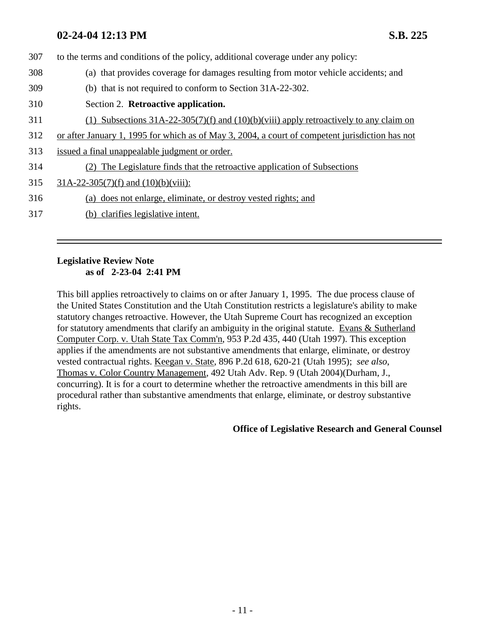307 to the terms and conditions of the policy, additional coverage under any policy: 308 (a) that provides coverage for damages resulting from motor vehicle accidents; and 309 (b) that is not required to conform to Section 31A-22-302. 310 Section 2. **Retroactive application.** 311 (1) Subsections 31A-22-305(7)(f) and (10)(b)(viii) apply retroactively to any claim on 312 or after January 1, 1995 for which as of May 3, 2004, a court of competent jurisdiction has not 313 issued a final unappealable judgment or order. 314 (2) The Legislature finds that the retroactive application of Subsections 315  $31A-22-305(7)(f)$  and  $(10)(b)(viii)$ : 316 (a) does not enlarge, eliminate, or destroy vested rights; and 317 (b) clarifies legislative intent.

## **Legislative Review Note as of 2-23-04 2:41 PM**

This bill applies retroactively to claims on or after January 1, 1995. The due process clause of the United States Constitution and the Utah Constitution restricts a legislature's ability to make statutory changes retroactive. However, the Utah Supreme Court has recognized an exception for statutory amendments that clarify an ambiguity in the original statute. Evans & Sutherland Computer Corp. v. Utah State Tax Comm'n, 953 P.2d 435, 440 (Utah 1997). This exception applies if the amendments are not substantive amendments that enlarge, eliminate, or destroy vested contractual rights. Keegan v. State, 896 P.2d 618, 620-21 (Utah 1995); *see also*, Thomas v. Color Country Management, 492 Utah Adv. Rep. 9 (Utah 2004)(Durham, J., concurring). It is for a court to determine whether the retroactive amendments in this bill are procedural rather than substantive amendments that enlarge, eliminate, or destroy substantive rights.

**Office of Legislative Research and General Counsel**